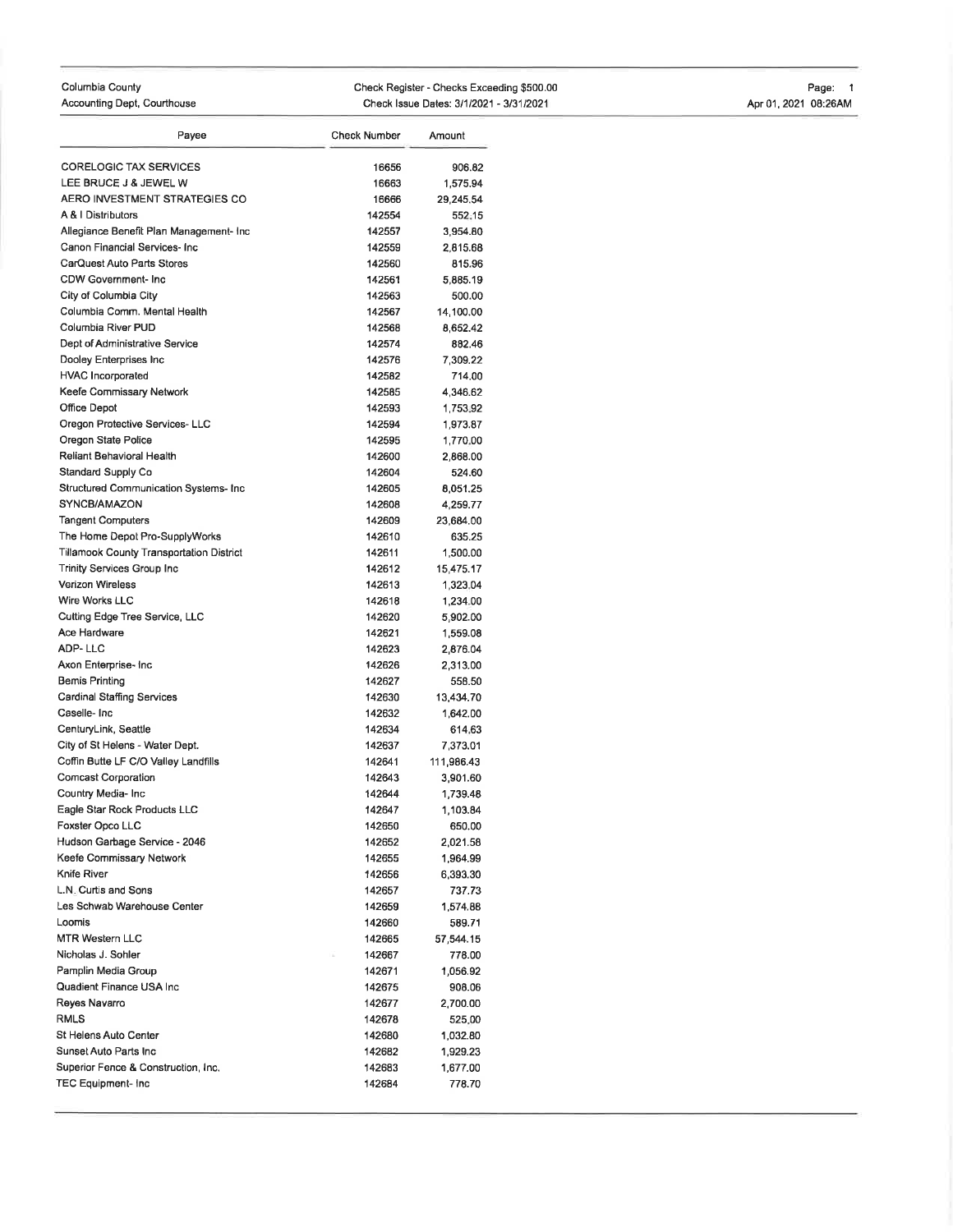| Columbia County             | Check Register - Checks Exceeding \$500.00 | Page:                |
|-----------------------------|--------------------------------------------|----------------------|
| Accounting Dept, Courthouse | Check Issue Dates: 3/1/2021 - 3/31/2021    | Apr 01, 2021 08:26AM |

| Payee                                    | <b>Check Number</b> | Amount     |
|------------------------------------------|---------------------|------------|
| <b>CORELOGIC TAX SERVICES</b>            | 16656               | 906.82     |
| LEE BRUCE J & JEWEL W                    | 16663               | 1,575.94   |
| AERO INVESTMENT STRATEGIES CO            | 16666               | 29,245.54  |
| A & I Distributors                       | 142554              | 552.15     |
| Allegiance Benefit Plan Management- Inc  | 142557              | 3,954.80   |
| Canon Financial Services- Inc            | 142559              | 2,815.68   |
| CarQuest Auto Parts Stores               | 142560              | 815.96     |
| CDW Government-Inc                       | 142561              | 5.885.19   |
| City of Columbia City                    | 142563              | 500.00     |
| Columbia Comm. Mental Health             | 142567              | 14,100.00  |
| Columbia River PUD                       | 142568              | 8,652.42   |
| Dept of Administrative Service           | 142574              | 882.46     |
| Dooley Enterprises Inc                   | 142576              | 7,309.22   |
| <b>HVAC Incorporated</b>                 | 142582              | 714.00     |
| Keefe Commissary Network                 | 142585              | 4,346.62   |
| Office Depot                             | 142593              | 1,753.92   |
| Oregon Protective Services-LLC           | 142594              | 1,973.87   |
| Oregon State Police                      | 142595              | 1,770.00   |
| Reliant Behavioral Health                | 142600              | 2,868.00   |
| Standard Supply Co                       | 142604              | 524.60     |
| Structured Communication Systems- Inc    | 142605              | 8,051.25   |
| SYNCB/AMAZON                             | 142608              | 4,259.77   |
| <b>Tangent Computers</b>                 | 142609              | 23,684.00  |
| The Home Depot Pro-SupplyWorks           | 142610              | 635.25     |
| Tillamook County Transportation District | 142611              | 1,500.00   |
| Trinity Services Group Inc               | 142612              | 15,475.17  |
| <b>Verizon Wireless</b>                  | 142613              | 1,323,04   |
| Wire Works LLC                           | 142618              | 1,234.00   |
| Cutting Edge Tree Service, LLC           | 142620              | 5,902.00   |
| Ace Hardware                             | 142621              | 1,559.08   |
| ADP-LLC                                  | 142623              | 2,876.04   |
| Axon Enterprise- Inc                     | 142626              | 2,313.00   |
| Bemis Printing                           | 142627              | 558.50     |
| Cardinal Staffing Services               | 142630              | 13,434.70  |
| Caselle-Inc                              | 142632              | 1,642.00   |
| CenturyLink, Seattle                     | 142634              | 614.63     |
| City of St Helens - Water Dept.          | 142637              | 7,373.01   |
| Coffin Butte LF C/O Valley Landfills     | 142641              | 111,986.43 |
| <b>Comcast Corporation</b>               | 142643              | 3,901.60   |
| Country Media- Inc                       | 142644              | 1,739.48   |
| Eagle Star Rock Products LLC             | 142647              | 1,103.84   |
| Foxster Opco LLC                         | 142650              | 650.00     |
| Hudson Garbage Service - 2046            | 142652              | 2,021.58   |
| Keefe Commissary Network                 | 142655              | 1,964.99   |
| Knife River                              | 142656              | 6,393.30   |
| L.N. Curtis and Sons                     | 142657              | 737.73     |
| Les Schwab Warehouse Center              | 142659              | 1,574.88   |
| Loomis                                   | 142660              | 589.71     |
| MTR Western LLC                          | 142665              | 57,544.15  |
| Nicholas J. Sohler                       | 142667              | 778.00     |
| Pamplin Media Group                      | 142671              | 1,056.92   |
| Quadient Finance USA Inc                 | 142675              | 908.06     |
| Reyes Navarro                            | 142677              | 2,700.00   |
| RMLS                                     | 142678              | 525.00     |
| St Helens Auto Center                    | 142680              | 1,032.80   |
| Sunset Auto Parts Inc                    | 142682              | 1,929.23   |
| Superior Fence & Construction, Inc.      | 142683              | 1,677.00   |
| TEC Equipment- Inc                       | 142684              | 778.70     |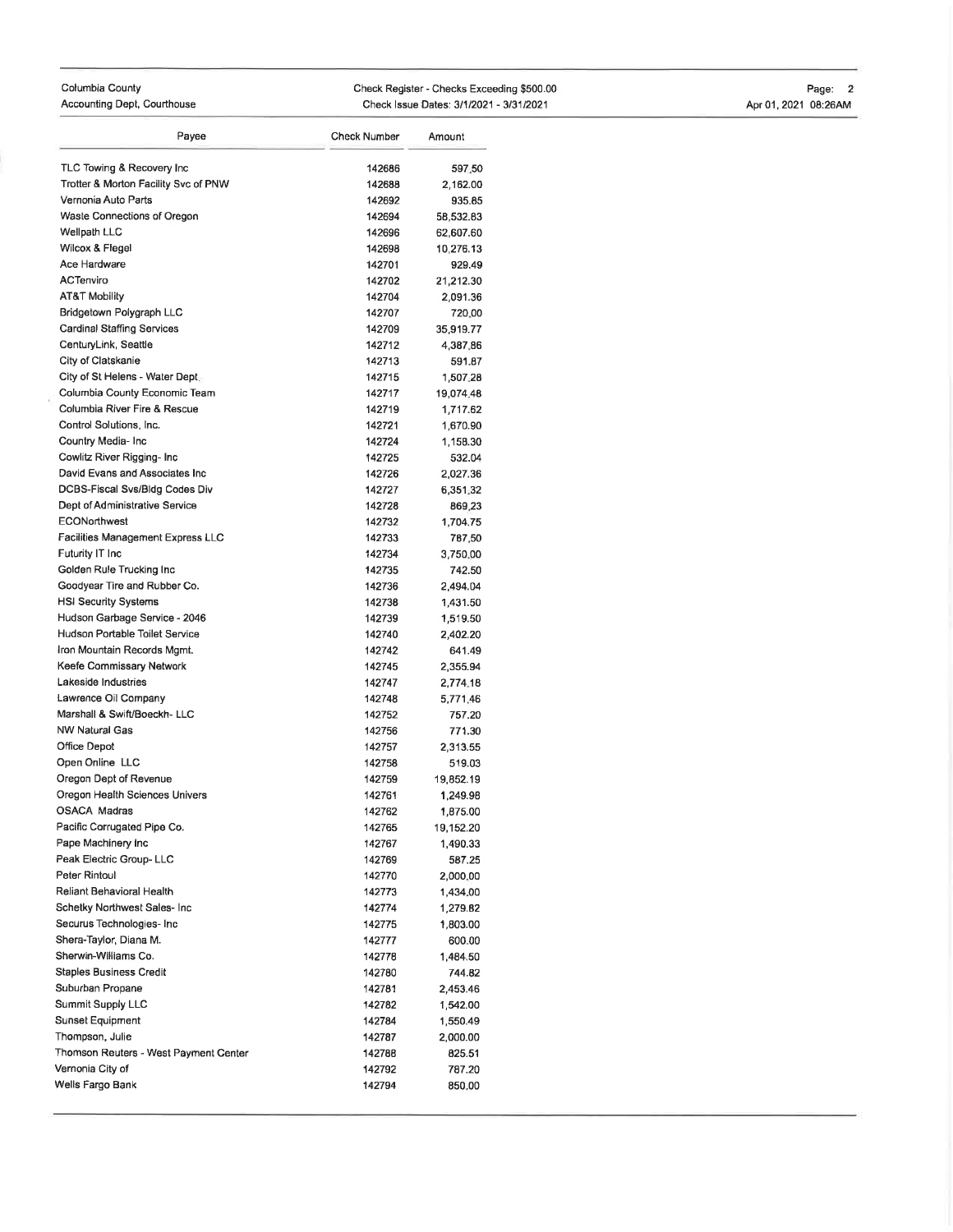| Columbia County             | Check Register - Checks Exceeding \$500.00 | Page:                |
|-----------------------------|--------------------------------------------|----------------------|
| Accounting Dept, Courthouse | Check Issue Dates: 3/1/2021 - 3/31/2021    | Apr 01, 2021 08:26AM |

| Payee                                 | <b>Check Number</b> | Amount    |
|---------------------------------------|---------------------|-----------|
| TLC Towing & Recovery Inc             | 142686              | 597,50    |
| Trotter & Morton Facility Svc of PNW  | 142688              | 2,162.00  |
| Vernonia Auto Parts                   | 142692              | 935.85    |
| Waste Connections of Oregon           | 142694              | 58,532.83 |
| Wellpath LLC                          | 142696              | 62,607.60 |
| Wilcox & Flegel                       | 142698              | 10,276.13 |
| Ace Hardware                          | 142701              | 929.49    |
| ACTenviro                             | 142702              | 21,212.30 |
| <b>AT&amp;T Mobility</b>              | 142704              | 2,091.36  |
| Bridgetown Polygraph LLC              | 142707              | 720.00    |
| Cardinal Staffing Services            | 142709              | 35,919.77 |
| CenturyLink, Seattle                  | 142712              | 4,387,86  |
| City of Clatskanie                    | 142713              | 591.87    |
| City of St Helens - Water Dept        | 142715              | 1,507.28  |
| Columbia County Economic Team         | 142717              | 19,074,48 |
| Columbia River Fire & Rescue          | 142719              | 1,717.62  |
| Control Solutions, Inc.               | 142721              | 1,670.90  |
| Country Media- Inc                    | 142724              | 1,158.30  |
| Cowlitz River Rigging- Inc            | 142725              | 532.04    |
| David Evans and Associates Inc.       | 142726              | 2,027.36  |
| DCBS-Fiscal Svs/Bldg Codes Div        | 142727              | 6,351.32  |
| Dept of Administrative Service        | 142728              | 869,23    |
| <b>ECONorthwest</b>                   | 142732              | 1,704.75  |
| Facilities Management Express LLC     | 142733              | 787.50    |
| Futurity IT Inc                       | 142734              | 3,750.00  |
| Golden Rule Trucking Inc              | 142735              | 742.50    |
| Goodyear Tire and Rubber Co.          | 142736              | 2,494.04  |
| <b>HSI Security Systems</b>           | 142738              | 1,431.50  |
| Hudson Garbage Service - 2046         | 142739              | 1,519.50  |
| <b>Hudson Portable Toilet Service</b> | 142740              | 2,402.20  |
| Iron Mountain Records Mgmt.           | 142742              | 641.49    |
| Keefe Commissary Network              | 142745              | 2,355.94  |
| Lakeside Industries                   | 142747              | 2,774.18  |
| Lawrence Oil Company                  | 142748              | 5,771,46  |
| Marshall & Swift/Boeckh-LLC           | 142752              | 757.20    |
| <b>NW Natural Gas</b>                 | 142756              | 771.30    |
| Office Depot                          | 142757              | 2,313.55  |
| Open Online LLC                       | 142758              | 519.03    |
| Oregon Dept of Revenue                | 142759              | 19,852.19 |
| Oregon Health Sciences Univers        | 142761              | 1,249.98  |
| <b>OSACA Madras</b>                   | 142762              | 1,875.00  |
| Pacific Corrugated Pipe Co.           | 142765              | 19,152.20 |
| Pape Machinery Inc                    | 142767              | 1,490.33  |
| Peak Electric Group-LLC               | 142769              | 587.25    |
| Peter Rintoul                         | 142770              | 2,000.00  |
| Reliant Behavioral Health             | 142773              | 1,434.00  |
| Schetky Northwest Sales- Inc          | 142774              | 1,279.82  |
| Securus Technologies- Inc             | 142775              | 1,803.00  |
| Shera-Taylor, Diana M.                | 142777              | 600.00    |
| Sherwin-Williams Co.                  | 142778              | 1,484.50  |
| <b>Staples Business Credit</b>        | 142780              | 744.82    |
| Suburban Propane                      | 142781              | 2,453.46  |
| Summit Supply LLC                     | 142782              | 1,542.00  |
| Sunset Equipment                      | 142784              | 1,550.49  |
| Thompson, Julie                       | 142787              | 2,000.00  |
| Thomson Reuters - West Payment Center | 142788              | 825.51    |
| Vernonia City of                      | 142792              | 787.20    |
| Wells Fargo Bank                      | 142794              | 850.00    |